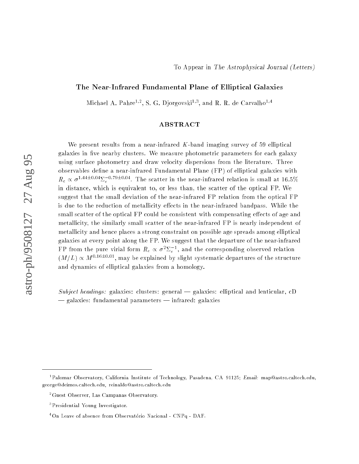# The Near-Infrared Fundamental Plane of Elliptical Galaxies

Michael A. Pahre<sup>17</sup>, S. G. Djorgovski<sup>192</sup>, and R. R. de Carvalho<sup>194</sup>

## ABSTRACT

We present results from a near-infrared  $K$ -band imaging survey of 59 elliptical galaxies in five nearby clusters. We measure photometric parameters for each galaxy using surface photometry and draw velocity dispersions from the literature. Three observables define a near-infrared Fundamental Plane (FP) of elliptical galaxies with  $R_e \propto \sigma^{1.44\pm0.04}\Sigma_e^{-0.79\pm0.04}$ . The scatter in the near-infrared relation is small at 16.5% in distance, which is equivalent to, or less than, the scatter of the optical FP. We suggest that the small deviation of the near-infrared FP relation from the optical FP is due to the reduction of metallicity effects in the near-infrared bandpass. While the small scatter of the optical FP could be consistent with compensating effects of age and metallicity, the similarly small scatter of the near-infrared FP is nearly independent of metallicity and hence places a strong constraint on possible age spreads among elliptical galaxies at every point along the FP. We suggest that the departure of the near-infrared FP from the pure virial form  $R_e \propto \sigma^2 \Sigma_e^{-1}$ , and the corresponding observed relation  $(M/L) \propto M^{0.16\pm0.01}$ , may be explained by slight systematic departures of the structure and dynamics of elliptical galaxies from a homology.

Subject headings: galaxies: clusters: general  $-$  galaxies: elliptical and lenticular, cD  $\frac{1}{2}$  galaxies: fundamental parameters  $\frac{1}{2}$  infrared: galaxies

<sup>&</sup>lt;sup>1</sup> Palomar Observatory, California Institute of Technology, Pasadena, CA 91125; *Email:* map@astro.caltech.edu, george@deimos.caltech.edu, reinaldo@astro.caltech.edu

<sup>2</sup>Guest Observer, Las Campanas Observatory.

<sup>3</sup> Presidential Young Investigator.

<sup>&</sup>lt;sup>4</sup>On Leave of absence from Observatório Nacional - CNPq - DAF.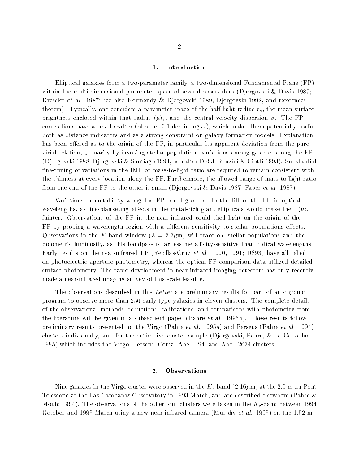### 1. Introduction

Elliptical galaxies form a two-parameter family, a two-dimensional Fundamental Plane (FP) within the multi-dimensional parameter space of several observables (Djorgovski & Davis 1987; Dressler et al. 1987; see also Kormendy & Djorgovski 1989, Djorgovski 1992, and references therein). Typically, one considers a parameter space of the half-light radius  $r_e$ , the mean surface brightness enclosed within that radius  $\langle \mu \rangle_e$ , and the central velocity dispersion  $\sigma$ . The FP correlations have a small scatter (of order 0.1 dex in  $\log r_e$ ), which makes them potentially useful both as distance indicators and as a strong constraint on galaxy formation models. Explanation has been offered as to the origin of the FP, in particular its apparent deviation from the pure virial relation, primarily by invoking stellar populations variations among galaxies along the FP (Djorgovski 1988; Djorgovski & Santiago 1993, hereafter DS93; Renzini & Ciotti 1993). Substantial fine-tuning of variations in the IMF or mass-to-light ratio are required to remain consistent with the thinness at every location along the FP. Furthermore, the allowed range of mass-to-light ratio from one end of the FP to the other is small (Djorgovski & Davis 1987; Faber et al. 1987).

Variations in metallicity along the FP could give rise to the tilt of the FP in optical wavelengths, as line-blanketing effects in the metal-rich giant ellipticals would make their  $\langle \mu \rangle_e$ fainter. Observations of the FP in the near-infrared could shed light on the origin of the FP by probing a wavelength region with a different sensitivity to stellar populations effects. Observations in the K-band window ( $\lambda = 2.2 \mu m$ ) will trace old stellar populations and the bolometric luminosity, as this bandpass is far less metallicity-sensitive than optical wavelengths. Early results on the near-infrared FP (Recillas-Cruz et al. 1990, 1991; DS93) have all relied on photoelectric aperture photometry, whereas the optical FP comparison data utilized detailed surface photometry. The rapid development in near-infrared imaging detectors has only recently made a near-infrared imaging survey of this scale feasible.

The observations described in this Letter are preliminary results for part of an ongoing program to observe more than 250 early-type galaxies in eleven clusters. The complete details of the observational methods, reductions, calibrations, and comparisons with photometry from the literature will be given in a subsequent paper (Pahre et al. 1995b). These results follow preliminary results presented for the Virgo (Pahre et al. 1995a) and Perseus (Pahre et al. 1994) clusters individually, and for the entire five cluster sample (Djorgovski, Pahre,  $\&$  de Carvalho 1995) which includes the Virgo, Perseus, Coma, Abell 194, and Abell 2634 clusters.

### 2. Observations

Nine galaxies in the Virgo cluster were observed in the  $K_s$ -band (2.16 $\mu$ m) at the 2.5 m du Pont Telescope at the Las Campanas Observatory in 1993 March, and are described elsewhere (Pahre & Mould 1994). The observations of the other four clusters were taken in the  $K_s$ -band between 1994 October and 1995 March using a new near-infrared camera (Murphy et al. 1995) on the 1:52 m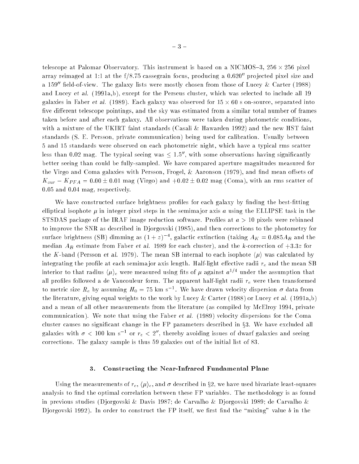telescope at Palomar Observatory. This instrument is based on a NICMOS{3, 256 - 256 pixel array reimaged at 1:1 at the  $f/8.75$  cassegrain focus, producing a  $0.620''$  projected pixel size and a 159" field-of-view. The galaxy lists were mostly chosen from those of Lucey & Carter (1988) and Lucey et al. (1991a,b), except for the Perseus cluster, which was selected to include all 19 galaxies in Faber et al. (1989). Each galaxy was observed for  $15 \times 60$  s on-source, separated into five different telescope pointings, and the sky was estimated from a similar total number of frames taken before and after each galaxy. All observations were taken during photometric conditions, with a mixture of the UKIRT faint standards (Casali & Hawarden 1992) and the new HST faint standards (S. E. Persson, private communication) being used for calibration. Usually between 5 and 15 standards were observed on each photometric night, which have a typical rms scatter less than 0.02 mag. The typical seeing was  $\leq 1.5$ ", with some observations having significantly better seeing than could be fully-sampled. We have compared aperture magnitudes measured for the Virgo and Coma galaxies with Persson, Frogel, & Aaronson  $(1979)$ , and find mean offsets of  $K_{our} - K_{PFA} = 0.00 \pm 0.01$  mag (Virgo) and  $+0.02 \pm 0.02$  mag (Coma), with an rms scatter of 0:05 and 0:04 mag, respectively.

We have constructed surface brightness profiles for each galaxy by finding the best-fitting elliptical isophote  $\mu$  in integer pixel steps in the semima jor axis a using the ELLIPSE task in the STSDAS package of the IRAF image reduction software. Profiles at  $a > 10$  pixels were rebinned to improve the SNR as described in Djorgovski (1985), and then corrections to the photometry for surface brightness (SB) dimming as  $(1+z)^{-4}$ , galactic extinction (taking  $A_K = 0.085A_B$  and the median  $A_B$  estimate from Faber et al. 1989 for each cluster), and the k-correction of  $+3.3z$  for the K-band (Persson et al. 1979). The mean SB internal to each isophote  $\langle \mu \rangle$  was calculated by integrating the profile at each semimajor axis length. Half-light effective radii  $r_e$  and the mean SB interior to that radius  $\langle \mu \rangle_e$  were measured using fits of  $\mu$  against  $a^{1/4}$  under the assumption that all profiles followed a de Vaucouleur form. The apparent half-light radii  $r_e$  were then transformed to metric size  $R_e$  by assuming  $H_0 = 75$  km s<sup>-1</sup>. We have drawn velocity dispersion  $\sigma$  data from the literature, giving equal weights to the work by Lucey & Carter (1988) or Lucey et al. (1991a,b) and a mean of all other measurements from the literature (as compiled by McElroy 1994, private communication). We note that using the Faber et al. (1989) velocity dispersions for the Coma cluster causes no significant change in the FP parameters described in  $\S 3$ . We have excluded all galaxies with  $\sigma$   $<$  100 km s  $^{\circ}$  or  $r_{e}$   $<$  2″, thereby avoiding issues of dwarf galaxies and seeing corrections. The galaxy sample is thus 59 galaxies out of the initial list of 83.

#### 3. Constructing the Near-Infrared Fundamental Plane

Using the measurements of  $r_e$ ,  $\langle \mu \rangle_e$ , and  $\sigma$  described in §2, we have used bivariate least-squares analysis to find the optimal correlation between these FP variables. The methodology is as found in previous studies (Djorgovski & Davis 1987; de Carvalho & Djorgovski 1989; de Carvalho & Djorgovski 1992). In order to construct the FP itself, we first find the "mixing" value b in the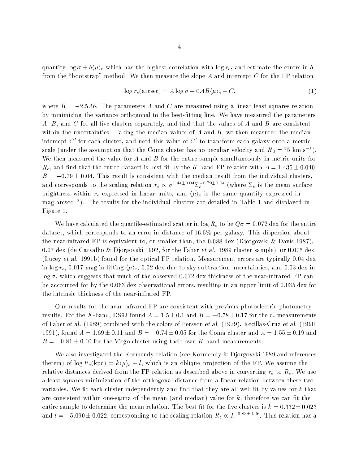quantity  $\log \sigma + b\langle \mu \rangle_e$  which has the highest correlation with  $\log r_e$ , and estimate the errors in b from the "bootstrap" method. We then measure the slope A and intercept C for the FP relation

$$
\log r_e(\text{arcsec}) = A \log \sigma - 0.4B \langle \mu \rangle_e + C,\tag{1}
$$

where  $B = -2.5Ab$ . The parameters A and C are measured using a linear least-squares relation by minimizing the variance orthogonal to the best-fitting line. We have measured the parameters  $A, B,$  and  $C$  for all five clusters separately, and find that the values of  $A$  and  $B$  are consistent within the uncertainties. Taking the median values of  $A$  and  $B$ , we then measured the median intercept  $C'$  for each cluster, and used this value of  $C'$  to transform each galaxy onto a metric scale (under the assumption that the Coma cluster has no peculiar velocity and  $H_0 = 75$  km s<sup>-1</sup>). We then measured the value for A and B for the entire sample simultaneously in metric units for  $R_e$ , and find that the entire dataset is best-fit by the K-band FP relation with  $A = 1.435 \pm 0.040$  $B = -0.79 \pm 0.04$ . This result is consistent with the median result from the individual clusters, and corresponds to the scaling relation  $r_e \propto \sigma^{1+1.4\pm 0.04} I_e$  . Where  $\Delta_e$  is the mean surface brightness within  $r_e$  expressed in linear units, and  $\langle \mu \rangle_e$  is the same quantity expressed in mag arcsec2 ). The results for the individual clusters are detailed in Table 1 and displayed in Figure 1.

We have calculated the quartile-estimated scatter in  $\log R_e$  to be  $Q\sigma = 0.072$  dex for the entire dataset, which corresponds to an error in distance of 16:5% per galaxy. This dispersion about the near-infrared FP is equivalent to, or smaller than, the  $0.088$  dex (Djorgovski & Davis 1987), 0:07 dex (de Carvalho & Djorgovski 1992, for the Faber et al. 1989 cluster sample), or 0:075 dex (Lucey et al. 1991b) found for the optical FP relation. Measurement errors are typically 0:04 dex in log  $r_e$ , 0.017 mag in fitting  $\langle \mu \rangle_e$ , 0.02 dex due to sky-subtraction uncertainties, and 0.03 dex in  $\log \sigma$ , which suggests that much of the observed 0.072 dex thickness of the near-infrared FP can be accounted for by the 0:063 dex observational errors, resulting in an upper limit of 0:035 dex for the intrinsic thickness of the near-infrared FP.

Our results for the near-infrared FP are consistent with previous photoelectric photometry results. For the K-band, DS93 found  $A = 1.5 \pm 0.1$  and  $B = -0.78 \pm 0.17$  for the  $r_e$  measurements of Faber et al. (1989) combined with the colors of Persson et al. (1979). Recillas-Cruz et al. (1990, 1991), found  $A = 1.69 \pm 0.11$  and  $B = -0.74 \pm 0.05$  for the Coma cluster and  $A = 1.55 \pm 0.19$  and  $B = -0.81 \pm 0.10$  for the Virgo cluster using their own K-band measurements.

We also investigated the Kormendy relation (see Kormendy & Djorgovski 1989 and references therein) of  $\log R_e(\text{kpc}) = k\langle \mu \rangle_e + l$ , which is an oblique projection of the FP. We assume the relative distances derived from the FP relation as described above in converting  $r_e$  to  $R_e$ . We use a least-squares minimization of the orthogonal distance from a linear relation between these two variables. We fit each cluster independently and find that they are all well-fit by values for  $k$  that are consistent within one-sigma of the mean (and median) value for  $k$ , therefore we can fit the entire sample to determine the mean relation. The best fit for the five clusters is  $k = 0.332 \pm 0.023$ and  $l = -5.090 \pm 0.022$ , corresponding to the scaling relation  $R_e \propto I_e^{-0.83 \pm 0.06}$ . This relation has a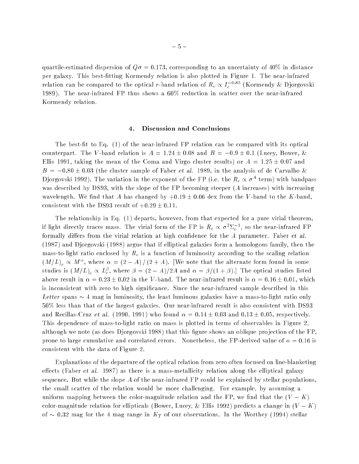quartile-estimated dispersion of  $Q\sigma = 0.173$ , corresponding to an uncertainty of 40% in distance per galaxy. This best-fitting Kormendy relation is also plotted in Figure 1. The near-infrared relation can be compared to the optical  $r$ -band relation of  $R_e \propto I_e^{-0.85}$  (Kormendy & Djorgovski 1989). The near-infrared FP thus shows a 60% reduction in scatter over the near-infrared Kormendy relation.

### 4. Discussion and Conclusions

The best-fit to Eq.  $(1)$  of the near-infrared FP relation can be compared with its optical counterpart. The V-band relation is  $A = 1.24 \pm 0.08$  and  $B = -0.9 \pm 0.1$  (Lucey, Bower, & Ellis 1991, taking the mean of the Coma and Virgo cluster results) or  $A = 1.25 \pm 0.07$  and  $B = -0.80 \pm 0.03$  (the cluster sample of Faber et al. 1989, in the analysis of de Carvalho & Djorgovski 1992). The variation in the exponent of the FP (i.e. the  $R_e \propto \sigma^A$  term) with bandpass was described by DS93, with the slope of the FP becoming steeper  $(A)$  increases) with increasing wavelength. We find that A has changed by  $+0.19 \pm 0.06$  dex from the V-band to the K-band, consistent with the DS93 result of  $+0.29 \pm 0.11$ .

The relationship in Eq. (1) departs, however, from that expected for a pure virial theorem, if light directly traces mass. The virial form of the FP is  $R_e \propto \sigma^2\Sigma_e^{-1}$ , so the near-infrared FP formally differs from the virial relation at high confidence for the  $A$  parameter. Faber et al. (1987) and Djorgovski (1988) argue that if elliptical galaxies form a homologous family, then the mass-to-light ratio enclosed by  $R_e$  is a function of luminosity according to the scaling relation  $\left(M/L\right)_e \propto M^{\alpha},$  where  $\alpha = \left(2 - A\right)/\left(2 + A\right).$  [We note that the alternate form found in some studies is  $(M/L)_e \propto L_e^{\beta},$  where  $\beta = (2-A)/2A$  and  $\alpha = \beta/(1+\beta).$ ] The optical studies listed above result in  $\alpha = 0.23 \pm 0.02$  in the V-band. The near-infrared result is  $\alpha = 0.16 \pm 0.01$ , which is inconsistent with zero to high signicance. Since the near-infrared sample described in this Letter spans  $\sim$  4 mag in luminosity, the least luminous galaxies have a mass-to-light ratio only 50% less than that of the largest galaxies. Our near-infrared result is also consistent with DS93 and Recillas-Cruz et al. (1990, 1991) who found  $\alpha = 0.14 \pm 0.03$  and  $0.13 \pm 0.05$ , respectively. This dependence of mass-to-light ratio on mass is plotted in terms of observables in Figure 2, although we note (as does Djorgovski 1988) that this figure shows an oblique projection of the FP. prone to large cumulative and correlated errors. Nonetheless, the FP-derived value of  $\alpha = 0.16$  is consistent with the data of Figure 2.

Explanations of the departure of the optical relation from zero often focused on line-blanketing effects (Faber et al. 1987) as there is a mass-metallicity relation along the elliptical galaxy sequence. But while the slope A of the near-infrared FP could be explained by stellar populations. the small scatter of the relation would be more challenging. For example, by assuming a uniform mapping between the color-magnitude relation and the FP, we find that the  $(V - K)$ color-magnitude relation for ellipticals (Bower, Lucey, & Ellis 1992) predicts a change in  $(V - K)$ of  $\sim$  0.32 mag for the 4 mag range in  $K_T$  of our observations. In the Worthey (1994) stellar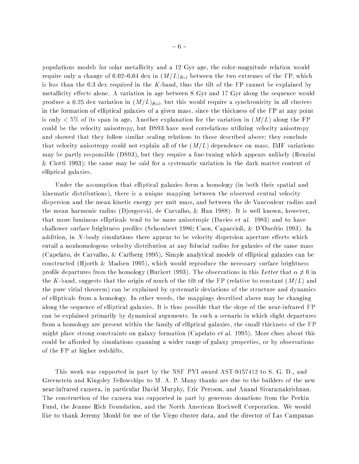populations models for solar metallicity and a 12 Gyr age, the color-magnitude relation would require only a change of 0.02-0.04 dex in  $(M/L)_{Bol}$  between the two extremes of the FP, which is less than the 0.3 dex required in the K-band, thus the tilt of the FP cannot be explained by metallicity effects alone. A variation in age between 8 Gyr and 17 Gyr along the sequence would produce a 0.25 dex variation in  $(M/L)_{Bol}$ , but this would require a synchronicity in all clusters in the formation of elliptical galaxies of a given mass, since the thickness of the FP at any point is only  $< 5\%$  of its span in age. Another explanation for the variation in  $(M/L)$  along the FP could be the velocity anisotropy, but DS93 have used correlations utilizing velocity anisotropy and showed that they follow similar scaling relations to those described above; they conclude that velocity anisotropy could not explain all of the  $(M/L)$  dependence on mass. IMF variations may be partly responsible (DS93), but they require a fine-tuning which appears unlikely (Renzini & Ciotti 1993); the same may be said for a systematic variation in the dark matter content of elliptical galaxies.

Under the assumption that elliptical galaxies form a homology (in both their spatial and kinematic distributions), there is a unique mapping between the observed central velocity dispersion and the mean kinetic energy per unit mass, and between the de Vaucouleur radius and the mean harmonic radius (Djorgovski, de Carvalho, & Han 1988). It is well known, however, that more luminous ellipticals tend to be more anisotropic (Davies et al. 1983) and to have shallower surface brightness profiles (Schombert 1986; Caon, Capaccioli, & D'Onofrio 1993). In addition, in  $N$ -body simulations there appear to be velocity dispersion aperture effects which entail a nonhomologous velocity distribution at any fiducial radius for galaxies of the same mass (Capelato, de Carvalho, & Carlberg 1995). Simple analytical models of elliptical galaxies can be constructed (Hjorth & Madsen 1995), which would reproduce the necessary surface brightness profile departures from the homology (Burkert 1993). The observations in this Letter that  $\alpha \neq 0$  in the K-band, suggests that the origin of much of the tilt of the FP (relative to constant  $(M/L)$  and the pure virial theorem) can be explained by systematic deviations of the structure and dynamics of ellipticals from a homology. In other words, the mappings described above may be changing along the sequence of elliptical galaxies. It is thus possible that the slope of the near-infrared FP can be explained primarily by dynamical arguments. In such a scenario in which slight departures from a homology are present within the family of elliptical galaxies, the small thickness of the FP might place strong constraints on galaxy formation (Capelato et al. 1995). More clues about this could be afforded by simulations spanning a wider range of galaxy properties, or by observations of the FP at higher redshifts.

This work was supported in part by the NSF PYI award AST-9157412 to S. G. D., and Greenstein and Kingsley Fellowships to M. A. P. Many thanks are due to the builders of the new near-infrared camera, in particular David Murphy, Eric Persson, and Anand Sivaramakrishnan. The construction of the camera was supported in part by generous donations from the Perkin Fund, the Jeanne Rich Foundation, and the North American Rockwell Corporation. We would like to thank Jeremy Mould for use of the Virgo cluster data, and the director of Las Campanas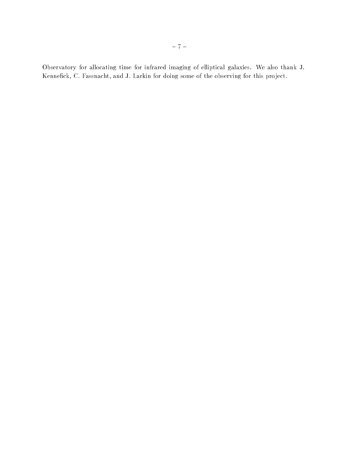Observatory for allocating time for infrared imaging of elliptical galaxies. We also thank J. Kennefick, C. Fassnacht, and J. Larkin for doing some of the observing for this project.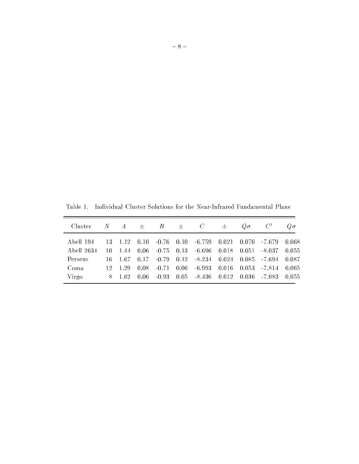Table 1. Individual Cluster Solutions for the Near-Infrared Fundamental Plane

| Cluster -  |      |         |  | $N$ $A$ $\pm$ $B$ $\pm$ $C$ | $\pm$ | $Q\sigma$ $C'$ |                                                                             | $Q\sigma$ |
|------------|------|---------|--|-----------------------------|-------|----------------|-----------------------------------------------------------------------------|-----------|
| Abell 194  |      |         |  |                             |       |                | $13$ $1.12$ $0.10$ $-0.76$ $0.10$ $-6.759$ $0.021$ $0.070$ $-7.679$ $0.068$ |           |
| Abell 2634 | -10- |         |  |                             |       |                | $1.44$ 0.06 -0.75 0.13 -6.696 0.018 0.051 -8.037 0.055                      |           |
| Perseus    |      |         |  |                             |       |                | 16 1.67 0.17 -0.79 0.12 -8.234 0.024 0.085 -7.694 0.087                     |           |
| Coma       |      | 12 1.29 |  |                             |       |                | $0.08$ $-0.71$ $0.06$ $-6.993$ $0.016$ $0.053$ $-7.814$ $0.065$             |           |
| Virgo      |      |         |  |                             |       |                | $8$ 1.62 0.06 -0.93 0.05 -8.436 0.012 0.036 -7.083 0.055                    |           |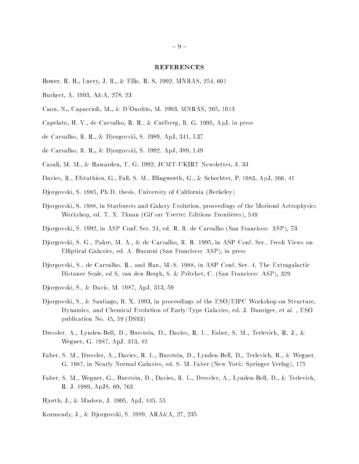### REFERENCES

- Bower, R. B., Lucey, J. R., & Ellis, R. S. 1992, MNRAS, 254, 601
- Burkert, A. 1993, A&A, 278, 23
- Caon, N., Capaccioli, M., & D'Onofrio, M. 1993, MNRAS, 265, 1013
- Capelato, H. V., de Carvalho, R. R., & Carlberg, R. G. 1995, ApJ, in press
- de Carvalho, R. R., & Djorgovski, S. 1989, ApJ, 341, L37
- de Carvalho, R. R., & Djorgovski, S. 1992, ApJ, 389, L49
- Casali, M. M., & Hawarden, T. G. 1992, JCMT-UKIRT Newsletter, 3, 33
- Davies, R., Efstathiou, G., Fall, S. M., Illingworth, G., & Schechter, P. 1983, ApJ, 266, 41
- Djorgovski, S. 1985, Ph.D. thesis, University of California (Berkeley)
- Djorgovski, S. 1988, in Starbursts and Galaxy Evolution, proceedings of the Moriond Astrophysics Workshop, ed. T. X. Thuan (Gif sur Yvette: Editions Frontières), 549
- Djorgovski, S. 1992, in ASP Conf. Ser. 24, ed. R. R. de Carvalho (San Francisco: ASP), 73
- Djorgovski, S. G., Pahre, M. A., & de Carvalho, R. R. 1995, in ASP Conf. Ser., Fresh Views on Elliptical Galaxies, ed. A. Buzzoni (San Francisco: ASP), in press
- Djorgovski, S., de Carvalho, R., and Han, M.-S. 1988, in ASP Conf. Ser. 4, The Extragalactic Distance Scale, ed S. van den Bergh, S. & Pritchet, C. (San Francisco: ASP), 329
- Djorgovski, S., & Davis, M. 1987, ApJ, 313, 59
- Djorgovski, S., & Santiago, B. X. 1993, in proceedings of the ESO/EIPC Workshop on Structure, Dynamics, and Chemical Evolution of Early-Type Galaxies, ed. J. Danziger, et al. , ESO publication No. 45, 59 (DS93)
- Dressler, A., Lynden-Bell, D., Burstein, D., Davies, R. L., Faber, S. M., Terlevich, R. J., & Wegner, G. 1987, ApJ, 313, 42
- Faber, S. M., Dressler, A., Davies, R. L., Burstein, D., Lynden-Bell, D., Terlevich, R., & Wegner, G. 1987, in Nearly Normal Galaxies, ed. S. M. Faber (New York: Springer Verlag), 175
- Faber, S. M., Wegner, G., Burstein, D., Davies, R. L., Dressler, A., Lynden-Bell, D., & Terlevich, R. J. 1989, ApJS, 69, 763
- Hjorth, J., & Madsen, J. 1995, ApJ, 445, 55
- Kormendy, J., & Djorgovski, S. 1989, ARA&A, 27, 235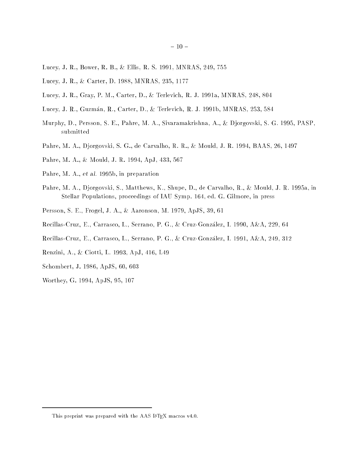- Lucey, J. R., Bower, R. B., & Ellis, R. S. 1991, MNRAS, 249, 755
- Lucey, J. R., & Carter, D. 1988, MNRAS, 235, 1177
- Lucey, J. R., Gray, P. M., Carter, D., & Terlevich, R. J. 1991a, MNRAS, 248, 804
- Lucey, J. R., Guzman, R., Carter, D., & Terlevich, R. J. 1991b, MNRAS, 253, 584
- Murphy, D., Persson, S. E., Pahre, M. A., Sivaramakrishna, A., & Djorgovski, S. G. 1995, PASP, submitted
- Pahre, M. A., Djorgovski, S. G., de Carvalho, R. R., & Mould, J. R. 1994, BAAS, 26, 1497
- Pahre, M. A., & Mould, J. R. 1994, ApJ, 433, 567
- Pahre, M. A., et al. 1995b, in preparation
- Pahre, M. A., Djorgovski, S., Matthews, K., Shupe, D., de Carvalho, R., & Mould, J. R. 1995a, in Stellar Populations, proceedings of IAU Symp. 164, ed. G. Gilmore, in press
- Persson, S. E., Frogel, J. A., & Aaronson, M. 1979, ApJS, 39, 61
- Recillas-Cruz, E., Carrasco, L., Serrano, P. G., & Cruz-Gonzalez, I. 1990, A&A, 229, 64
- Recillas-Cruz, E., Carrasco, L., Serrano, P. G., & Cruz-Gonzalez, I. 1991, A&A, 249, 312
- Renzini, A., & Ciotti, L. 1993, ApJ, 416, L49
- Schombert, J. 1986, ApJS, 60, 603
- Worthey, G. 1994, ApJS, 95, 107

This preprint was prepared with the AAS LATEX macros v4.0.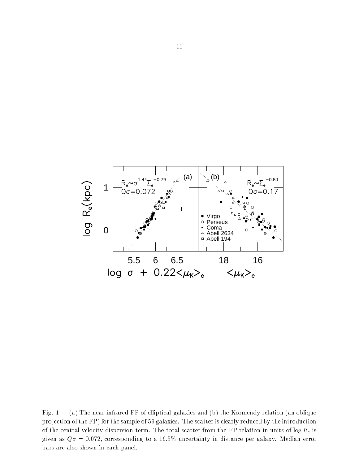

Fig. 1. $-$  (a) The near-infrared FP of elliptical galaxies and (b) the Kormendy relation (an oblique projection of the FP) for the sample of 59 galaxies. The scatter is clearly reduced by the introduction of the central velocity dispersion term. The total scatter from the FP relation in units of log  $R_e$  is given as  $Q\sigma = 0.072$ , corresponding to a 16.5% uncertainty in distance per galaxy. Median error bars are also shown in each panel.